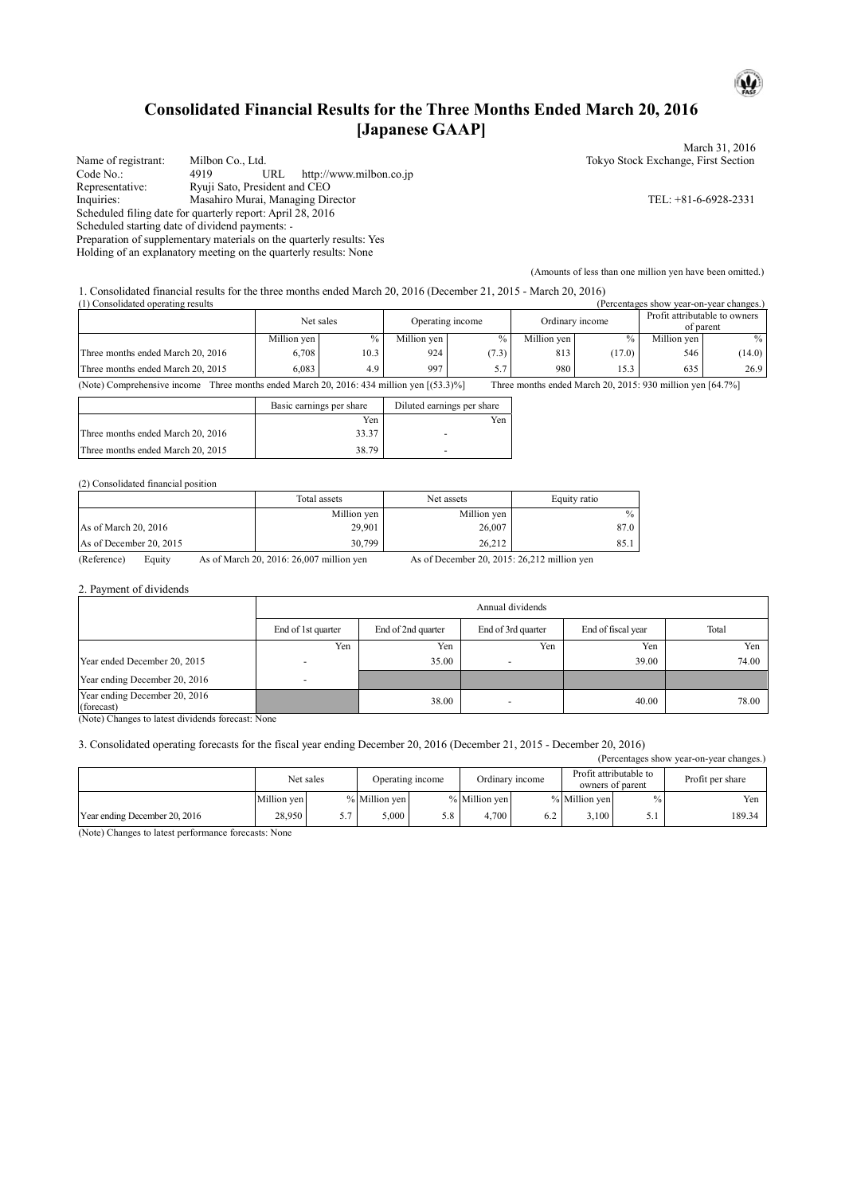# **Consolidated Financial Results for the Three Months Ended March 20, 2016 [Japanese GAAP]**

Name of registrant: Milbon Co., Ltd. Tokyo Stock Exchange, First Section Code No.: 4919 URL http://www.milbon.co.jp<br>
Representative: Ryuji Sato, President and CEO Representative: Ryuji Sato, President and CEO<br>Inquiries: Masahiro Murai, Managing Dir Masahiro Murai, Managing Director TEL: +81-6-6928-2331 Scheduled filing date for quarterly report: April 28, 2016 Scheduled starting date of dividend payments: - Preparation of supplementary materials on the quarterly results: Yes Holding of an explanatory meeting on the quarterly results: None

March 31, 2016

 $\mathbf{\omega}$ 

(Amounts of less than one million yen have been omitted.)

1. Consolidated financial results for the three months ended March 20, 2016 (December 21, 2015 - March 20, 2016)

| (1) Consolidated operating results<br>(Percentages show year-on-year changes.) |             |      |                  |       |                 |        |                               |           |
|--------------------------------------------------------------------------------|-------------|------|------------------|-------|-----------------|--------|-------------------------------|-----------|
|                                                                                | Net sales   |      | Operating income |       | Ordinary income |        | Profit attributable to owners | of parent |
|                                                                                | Million yen | $\%$ | Million yen      | $\%$  | Million ven     | $\%$   | Million yen                   | $\%$      |
| Three months ended March 20, 2016                                              | 6.708       | 10.3 | 924              | (7.3) | 813             | (17.0) | 546                           | (14.0)    |
| Three months ended March 20, 2015                                              | 6.083       | 4.9  | 997              | 57    | 980             | 15.3   | 635                           | 26.9      |

(Note) Comprehensive income Three months ended March 20, 2016: 434 million yen [(53.3)%] Three months ended March 20, 2015: 930 million yen [64.7%]

|                                   | Basic earnings per share | Diluted earnings per share |
|-----------------------------------|--------------------------|----------------------------|
|                                   | Yen                      | Yen                        |
| Three months ended March 20, 2016 | 33.37                    |                            |
| Three months ended March 20, 2015 | 38.79                    |                            |

#### (2) Consolidated financial position

|                         | Total assets | Net assets  | Equity ratio |
|-------------------------|--------------|-------------|--------------|
|                         | Million yen  | Million yen | $\%$         |
| As of March 20, 2016    | 29,901       | 26,007      | 87.0         |
| As of December 20, 2015 | 30,799       | 26.212      | 85.1         |

(Reference) Equity As of March 20, 2016: 26,007 million yen As of December 20, 2015: 26,212 million yen

2. Payment of dividends

| Annual dividends   |                    |                    |                    |       |  |  |  |
|--------------------|--------------------|--------------------|--------------------|-------|--|--|--|
| End of 1st quarter | End of 2nd quarter | End of 3rd quarter | End of fiscal year | Total |  |  |  |
| Yen                | Yen                | Yen                | Yen                | Yen   |  |  |  |
|                    | 35.00              |                    | 39.00              | 74.00 |  |  |  |
| <b>-</b>           |                    |                    |                    |       |  |  |  |
|                    | 38.00              |                    | 40.00              | 78.00 |  |  |  |
|                    |                    |                    |                    |       |  |  |  |

(Note) Changes to latest dividends forecast: None

### 3. Consolidated operating forecasts for the fiscal year ending December 20, 2016 (December 21, 2015 - December 20, 2016)

| (Percentages show year-on-year changes.) |                               |    |                 |     |                                            |     |                  |  |        |
|------------------------------------------|-------------------------------|----|-----------------|-----|--------------------------------------------|-----|------------------|--|--------|
|                                          | Net sales<br>Operating income |    | Ordinary income |     | Profit attributable to<br>owners of parent |     | Profit per share |  |        |
|                                          | Million ven                   |    | % Million yen   |     | % Million ven                              |     | % Million ven    |  | Yen    |
| Year ending December 20, 2016            | 28,950                        | 57 | 5.000           | 5.8 | 4.700                                      | 6.2 | 3.100            |  | 189.34 |

(Note) Changes to latest performance forecasts: None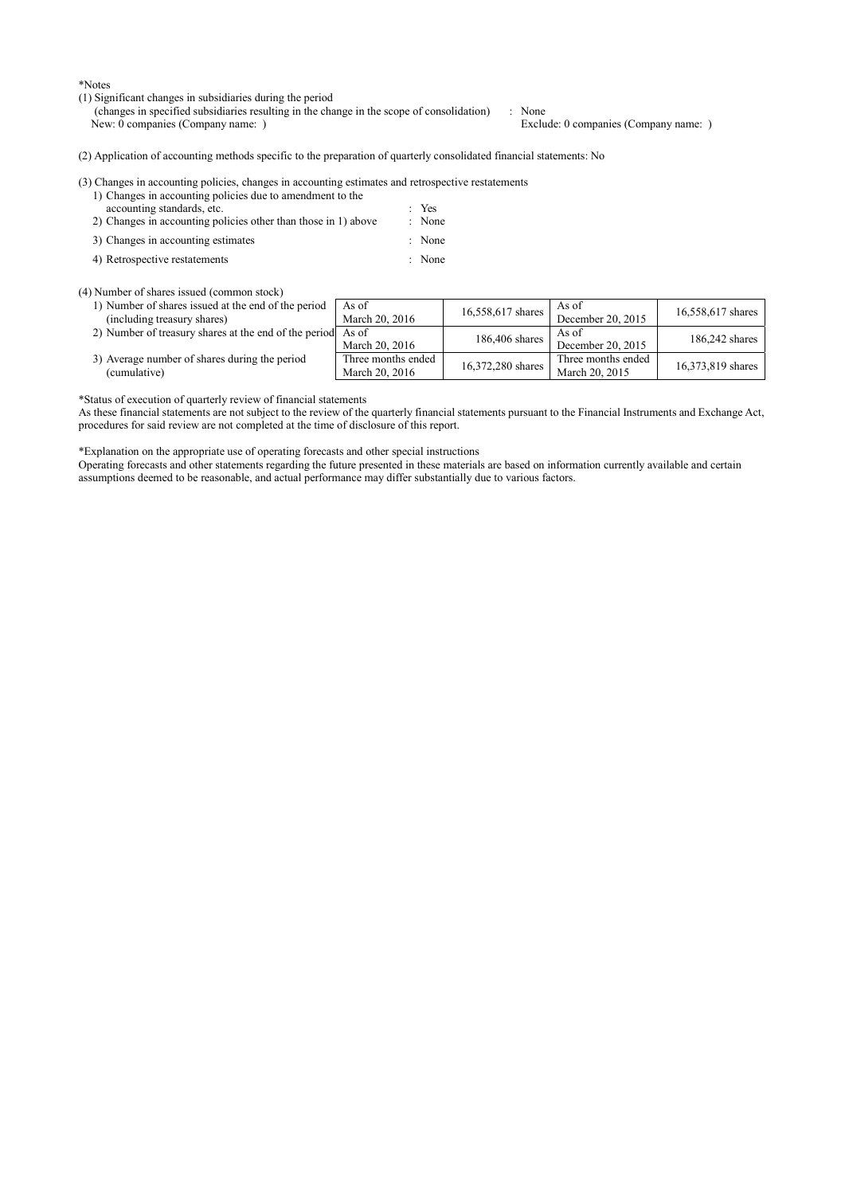\*Notes

- (1) Significant changes in subsidiaries during the period
	- (changes in specified subsidiaries resulting in the change in the scope of consolidation) : None

(2) Application of accounting methods specific to the preparation of quarterly consolidated financial statements: No

| (3) Changes in accounting policies, changes in accounting estimates and retrospective restatements |  |
|----------------------------------------------------------------------------------------------------|--|
| 1) Changes in accounting policies due to amendment to the                                          |  |

| accounting standards, etc.                                     | $Y$ es |
|----------------------------------------------------------------|--------|
| 2) Changes in accounting policies other than those in 1) above | : None |
| 3) Changes in accounting estimates                             | : None |

4) Retrospective restatements : None

# (4) Number of shares issued (common stock)

- 1) Number of shares issued at the end of the period
- (including treasury shares)
- 
- As of<br>March 20, 2016 As of<br>December 20, 2015 16,558,617 shares 2) Number of treasury shares at the end of the period As of As of March 20, 2016 186,406 shares  $\begin{array}{|c|c|c|c|}\n\hline\n& 186,406 \text{ shares} & \text{Aso of} \\
\hline\n\end{array}$ As of<br>December 20, 2015 186,242 shares 3) Average number of shares during the period (cumulative) Three months ended Three months ended<br>March 20, 2016 16,372,280 shares<br>March 20, 2015 16,373,819 shares

 $16,558,617$  shares  $\overline{AB}$ 

\*Status of execution of quarterly review of financial statements

As these financial statements are not subject to the review of the quarterly financial statements pursuant to the Financial Instruments and Exchange Act, procedures for said review are not completed at the time of disclosure of this report.

\*Explanation on the appropriate use of operating forecasts and other special instructions

Operating forecasts and other statements regarding the future presented in these materials are based on information currently available and certain assumptions deemed to be reasonable, and actual performance may differ substantially due to various factors.

# Exclude: 0 companies (Company name: )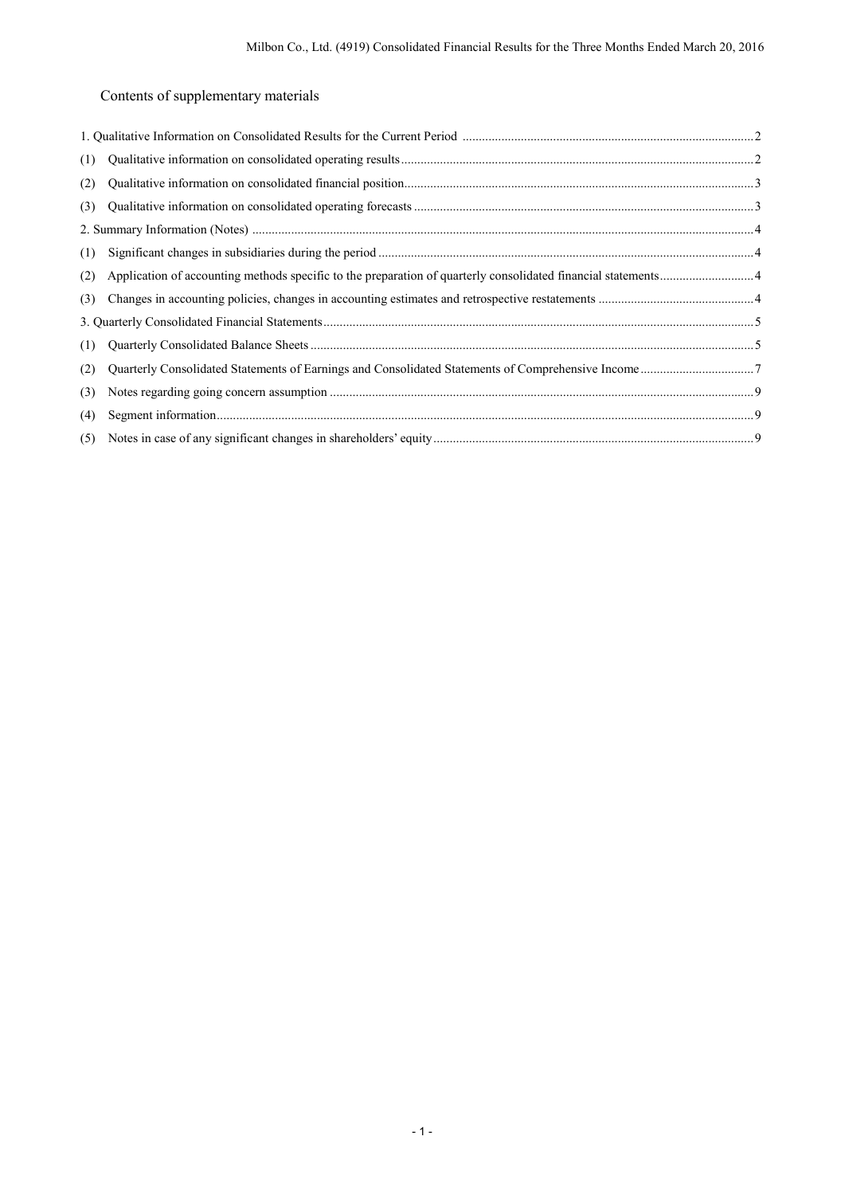Contents of supplementary materials

| (1) |  |
|-----|--|
| (2) |  |
| (3) |  |
|     |  |
| (1) |  |
| (2) |  |
| (3) |  |
|     |  |
| (1) |  |
| (2) |  |
| (3) |  |
| (4) |  |
|     |  |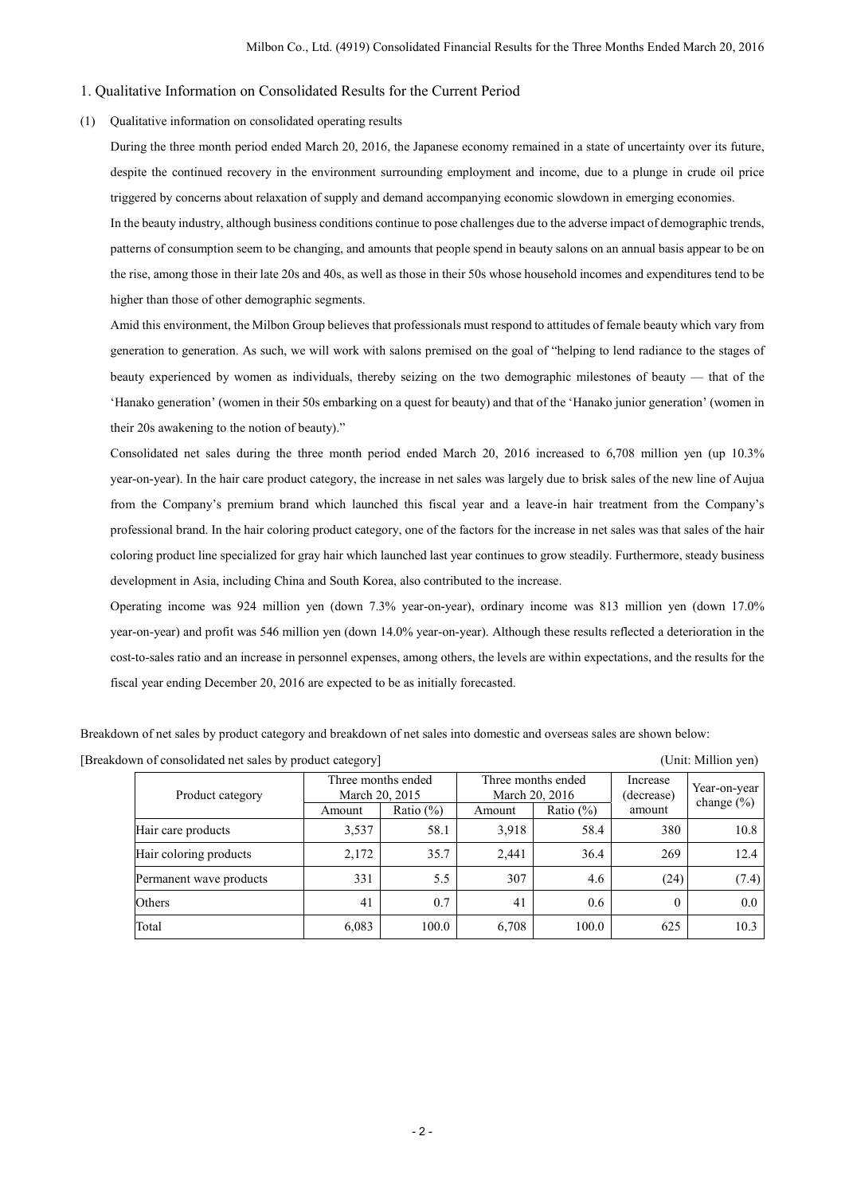## 1. Qualitative Information on Consolidated Results for the Current Period

## (1) Qualitative information on consolidated operating results

During the three month period ended March 20, 2016, the Japanese economy remained in a state of uncertainty over its future, despite the continued recovery in the environment surrounding employment and income, due to a plunge in crude oil price triggered by concerns about relaxation of supply and demand accompanying economic slowdown in emerging economies.

In the beauty industry, although business conditions continue to pose challenges due to the adverse impact of demographic trends, patterns of consumption seem to be changing, and amounts that people spend in beauty salons on an annual basis appear to be on the rise, among those in their late 20s and 40s, as well as those in their 50s whose household incomes and expenditures tend to be higher than those of other demographic segments.

Amid this environment, the Milbon Group believes that professionals must respond to attitudes of female beauty which vary from generation to generation. As such, we will work with salons premised on the goal of "helping to lend radiance to the stages of beauty experienced by women as individuals, thereby seizing on the two demographic milestones of beauty — that of the 'Hanako generation' (women in their 50s embarking on a quest for beauty) and that of the 'Hanako junior generation' (women in their 20s awakening to the notion of beauty)."

Consolidated net sales during the three month period ended March 20, 2016 increased to 6,708 million yen (up 10.3% year-on-year). In the hair care product category, the increase in net sales was largely due to brisk sales of the new line of Aujua from the Company's premium brand which launched this fiscal year and a leave-in hair treatment from the Company's professional brand. In the hair coloring product category, one of the factors for the increase in net sales was that sales of the hair coloring product line specialized for gray hair which launched last year continues to grow steadily. Furthermore, steady business development in Asia, including China and South Korea, also contributed to the increase.

Operating income was 924 million yen (down 7.3% year-on-year), ordinary income was 813 million yen (down 17.0% year-on-year) and profit was 546 million yen (down 14.0% year-on-year). Although these results reflected a deterioration in the cost-to-sales ratio and an increase in personnel expenses, among others, the levels are within expectations, and the results for the fiscal year ending December 20, 2016 are expected to be as initially forecasted.

Breakdown of net sales by product category and breakdown of net sales into domestic and overseas sales are shown below:

[Breakdown of consolidated net sales by product category] (Unit: Million yen)

| Product category        | Three months ended<br>March 20, 2015 |               |        | Three months ended<br>March 20, 2016 | Increase<br>(decrease) | Year-on-year<br>change $(\% )$ |
|-------------------------|--------------------------------------|---------------|--------|--------------------------------------|------------------------|--------------------------------|
|                         | Amount                               | Ratio $(\% )$ | Amount | Ratio $(\% )$                        | amount                 |                                |
| Hair care products      | 3,537                                | 58.1          | 3.918  | 58.4                                 | 380                    | 10.8                           |
| Hair coloring products  | 2,172                                | 35.7          | 2.441  | 36.4                                 | 269                    | 12.4                           |
| Permanent wave products | 331                                  | 5.5           | 307    | 4.6                                  | (24)                   | (7.4)                          |
| Others                  | 41                                   | 0.7           | 41     | 0.6                                  | $\theta$               | $0.0\,$                        |
| Total                   | 6,083                                | 100.0         | 6,708  | 100.0                                | 625                    | 10.3                           |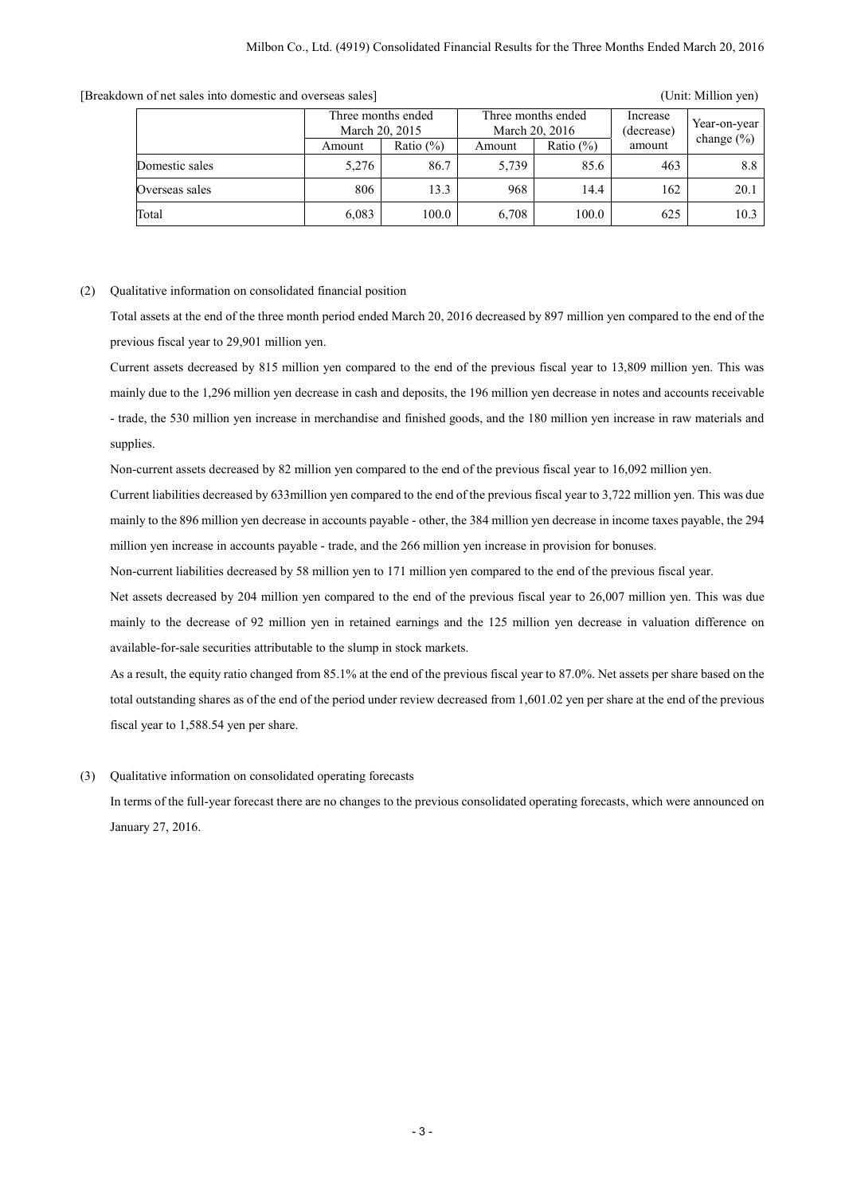|                |        | Three months ended<br>March 20, 2015 |        | Three months ended<br>March 20, 2016 |        | Year-on-year   |
|----------------|--------|--------------------------------------|--------|--------------------------------------|--------|----------------|
|                | Amount | Ratio $(\%)$                         | Amount | Ratio $(\%)$                         | amount | change $(\% )$ |
| Domestic sales | 5,276  | 86.7                                 | 5.739  | 85.6                                 | 463    | 8.8            |
| Overseas sales | 806    | 13.3                                 | 968    | 14.4                                 | 162    | 20.1           |
| Total          | 6,083  | 100.0                                | 6,708  | 100.0                                | 625    | 10.3           |

[Breakdown of net sales into domestic and overseas sales] (Unit: Million yen)

# (2) Qualitative information on consolidated financial position

Total assets at the end of the three month period ended March 20, 2016 decreased by 897 million yen compared to the end of the previous fiscal year to 29,901 million yen.

Current assets decreased by 815 million yen compared to the end of the previous fiscal year to 13,809 million yen. This was mainly due to the 1,296 million yen decrease in cash and deposits, the 196 million yen decrease in notes and accounts receivable - trade, the 530 million yen increase in merchandise and finished goods, and the 180 million yen increase in raw materials and supplies.

Non-current assets decreased by 82 million yen compared to the end of the previous fiscal year to 16,092 million yen.

Current liabilities decreased by 633million yen compared to the end of the previous fiscal year to 3,722 million yen. This was due mainly to the 896 million yen decrease in accounts payable - other, the 384 million yen decrease in income taxes payable, the 294 million yen increase in accounts payable - trade, and the 266 million yen increase in provision for bonuses.

Non-current liabilities decreased by 58 million yen to 171 million yen compared to the end of the previous fiscal year.

Net assets decreased by 204 million yen compared to the end of the previous fiscal year to 26,007 million yen. This was due mainly to the decrease of 92 million yen in retained earnings and the 125 million yen decrease in valuation difference on available-for-sale securities attributable to the slump in stock markets.

As a result, the equity ratio changed from 85.1% at the end of the previous fiscal year to 87.0%. Net assets per share based on the total outstanding shares as of the end of the period under review decreased from 1,601.02 yen per share at the end of the previous fiscal year to 1,588.54 yen per share.

(3) Qualitative information on consolidated operating forecasts

In terms of the full-year forecast there are no changes to the previous consolidated operating forecasts, which were announced on January 27, 2016.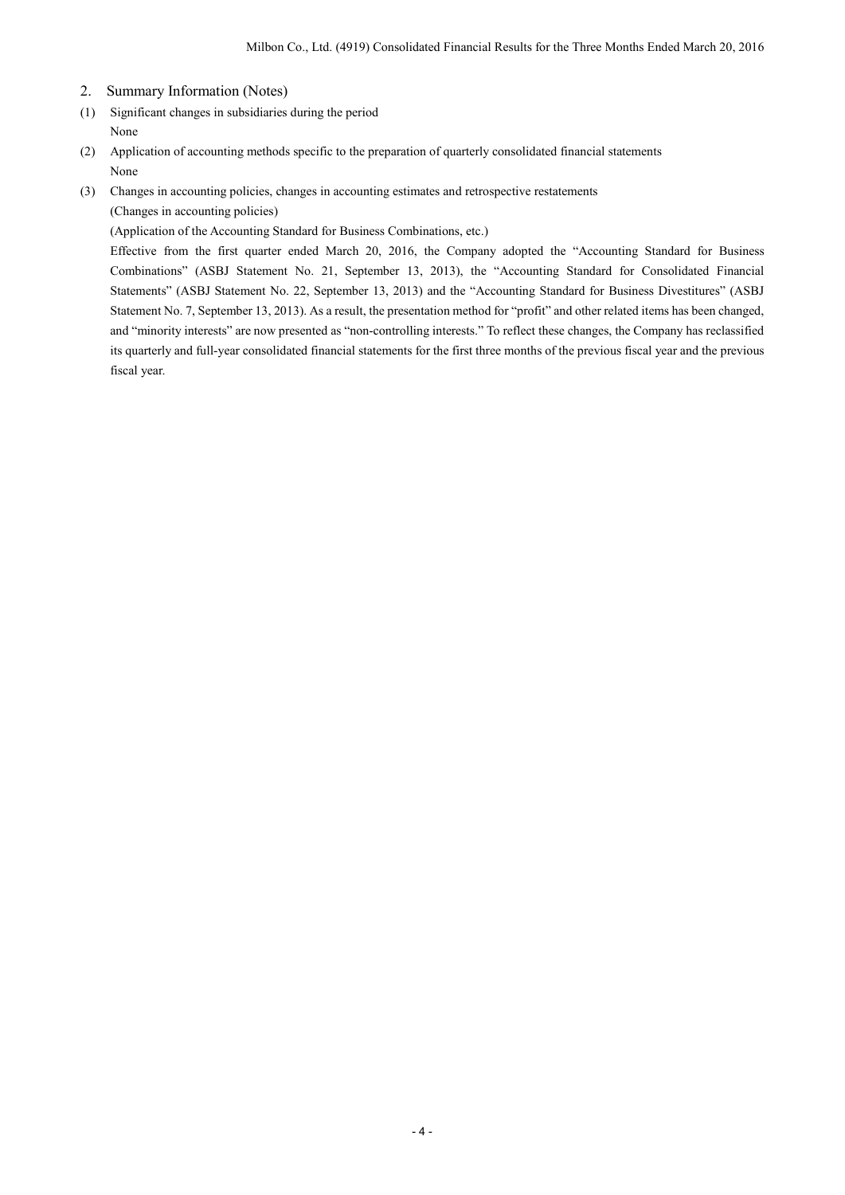- 2. Summary Information (Notes)
- (1) Significant changes in subsidiaries during the period None
- (2) Application of accounting methods specific to the preparation of quarterly consolidated financial statements None
- (3) Changes in accounting policies, changes in accounting estimates and retrospective restatements (Changes in accounting policies)

(Application of the Accounting Standard for Business Combinations, etc.)

Effective from the first quarter ended March 20, 2016, the Company adopted the "Accounting Standard for Business Combinations" (ASBJ Statement No. 21, September 13, 2013), the "Accounting Standard for Consolidated Financial Statements" (ASBJ Statement No. 22, September 13, 2013) and the "Accounting Standard for Business Divestitures" (ASBJ Statement No. 7, September 13, 2013). As a result, the presentation method for "profit" and other related items has been changed, and "minority interests" are now presented as "non-controlling interests." To reflect these changes, the Company has reclassified its quarterly and full-year consolidated financial statements for the first three months of the previous fiscal year and the previous fiscal year.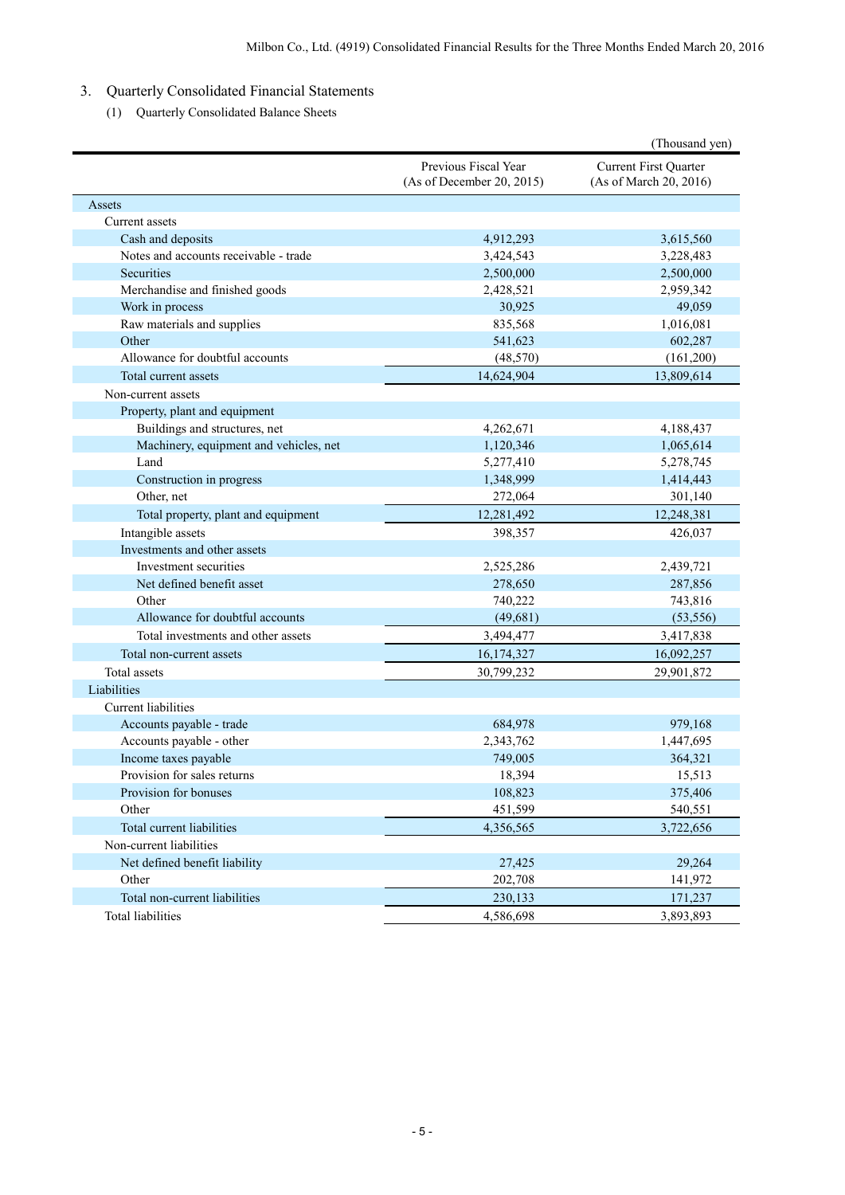# 3. Quarterly Consolidated Financial Statements

(1) Quarterly Consolidated Balance Sheets

|                                        |                                                   | (Thousand yen)                                  |
|----------------------------------------|---------------------------------------------------|-------------------------------------------------|
|                                        | Previous Fiscal Year<br>(As of December 20, 2015) | Current First Quarter<br>(As of March 20, 2016) |
| Assets                                 |                                                   |                                                 |
| Current assets                         |                                                   |                                                 |
| Cash and deposits                      | 4,912,293                                         | 3,615,560                                       |
| Notes and accounts receivable - trade  | 3,424,543                                         | 3,228,483                                       |
| Securities                             | 2,500,000                                         | 2,500,000                                       |
| Merchandise and finished goods         | 2,428,521                                         | 2,959,342                                       |
| Work in process                        | 30,925                                            | 49,059                                          |
| Raw materials and supplies             | 835,568                                           | 1,016,081                                       |
| Other                                  | 541,623                                           | 602,287                                         |
| Allowance for doubtful accounts        | (48, 570)                                         | (161,200)                                       |
| Total current assets                   | 14,624,904                                        | 13,809,614                                      |
| Non-current assets                     |                                                   |                                                 |
| Property, plant and equipment          |                                                   |                                                 |
| Buildings and structures, net          | 4,262,671                                         | 4,188,437                                       |
| Machinery, equipment and vehicles, net | 1,120,346                                         | 1,065,614                                       |
| Land                                   | 5,277,410                                         | 5,278,745                                       |
| Construction in progress               | 1,348,999                                         | 1,414,443                                       |
| Other, net                             | 272,064                                           | 301,140                                         |
| Total property, plant and equipment    | 12,281,492                                        | 12,248,381                                      |
| Intangible assets                      | 398,357                                           | 426,037                                         |
| Investments and other assets           |                                                   |                                                 |
| Investment securities                  | 2,525,286                                         | 2,439,721                                       |
| Net defined benefit asset              | 278,650                                           | 287,856                                         |
| Other                                  | 740,222                                           | 743,816                                         |
| Allowance for doubtful accounts        | (49,681)                                          | (53, 556)                                       |
| Total investments and other assets     | 3,494,477                                         | 3,417,838                                       |
| Total non-current assets               | 16,174,327                                        | 16,092,257                                      |
| Total assets                           | 30,799,232                                        | 29,901,872                                      |
| Liabilities                            |                                                   |                                                 |
| Current liabilities                    |                                                   |                                                 |
| Accounts payable - trade               | 684,978                                           | 979,168                                         |
| Accounts payable - other               | 2,343,762                                         | 1,447,695                                       |
| Income taxes payable                   | 749,005                                           | 364,321                                         |
| Provision for sales returns            | 18,394                                            | 15,513                                          |
| Provision for bonuses                  | 108,823                                           | 375,406                                         |
| Other                                  | 451,599                                           | 540,551                                         |
| Total current liabilities              | 4,356,565                                         | 3,722,656                                       |
| Non-current liabilities                |                                                   |                                                 |
| Net defined benefit liability          | 27,425                                            | 29,264                                          |
| Other                                  | 202,708                                           | 141,972                                         |
| Total non-current liabilities          | 230,133                                           | 171,237                                         |
| <b>Total liabilities</b>               | 4,586,698                                         | 3,893,893                                       |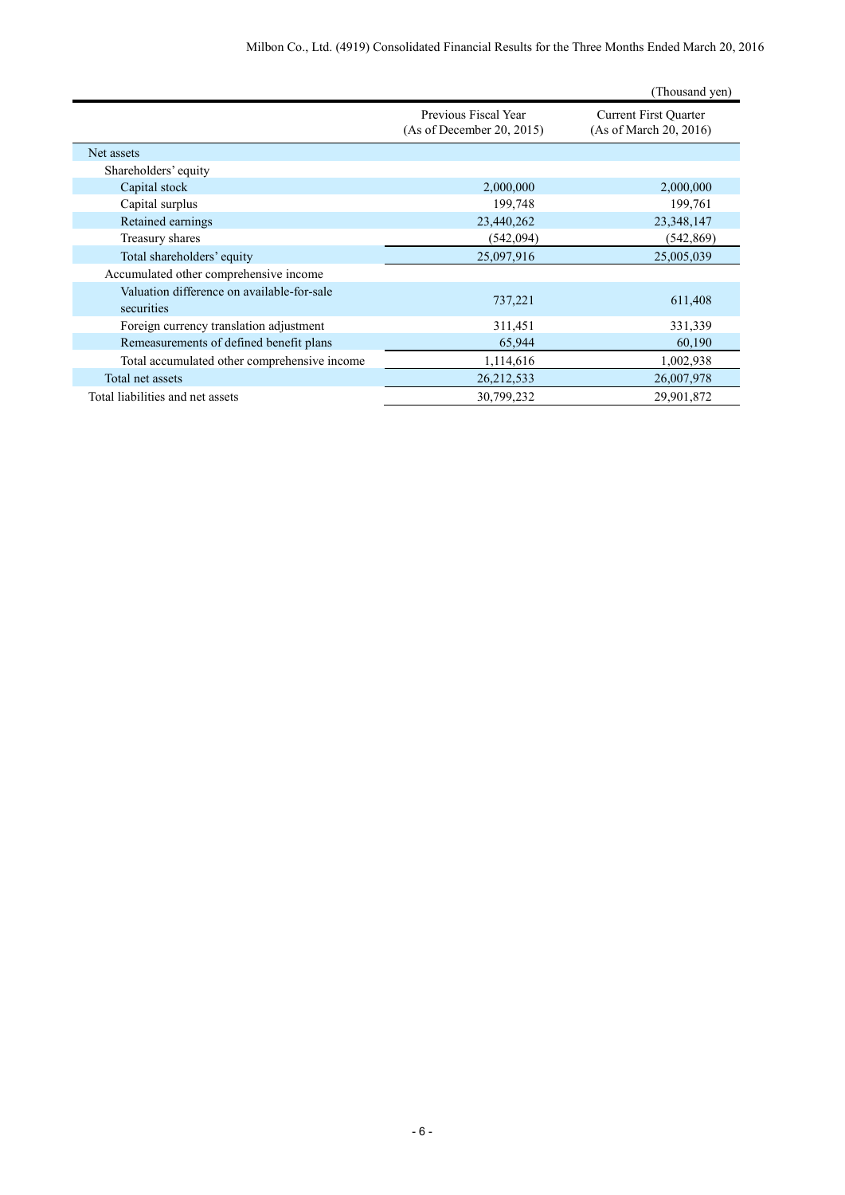|                                                          |                                                   | (Thousand yen)                                         |
|----------------------------------------------------------|---------------------------------------------------|--------------------------------------------------------|
|                                                          | Previous Fiscal Year<br>(As of December 20, 2015) | <b>Current First Quarter</b><br>(As of March 20, 2016) |
| Net assets                                               |                                                   |                                                        |
| Shareholders' equity                                     |                                                   |                                                        |
| Capital stock                                            | 2,000,000                                         | 2,000,000                                              |
| Capital surplus                                          | 199,748                                           | 199,761                                                |
| Retained earnings                                        | 23,440,262                                        | 23,348,147                                             |
| Treasury shares                                          | (542,094)                                         | (542, 869)                                             |
| Total shareholders' equity                               | 25,097,916                                        | 25,005,039                                             |
| Accumulated other comprehensive income                   |                                                   |                                                        |
| Valuation difference on available-for-sale<br>securities | 737,221                                           | 611,408                                                |
| Foreign currency translation adjustment                  | 311,451                                           | 331,339                                                |
| Remeasurements of defined benefit plans                  | 65,944                                            | 60,190                                                 |
| Total accumulated other comprehensive income             | 1,114,616                                         | 1,002,938                                              |
| Total net assets                                         | 26, 212, 533                                      | 26,007,978                                             |
| Total liabilities and net assets                         | 30,799,232                                        | 29,901,872                                             |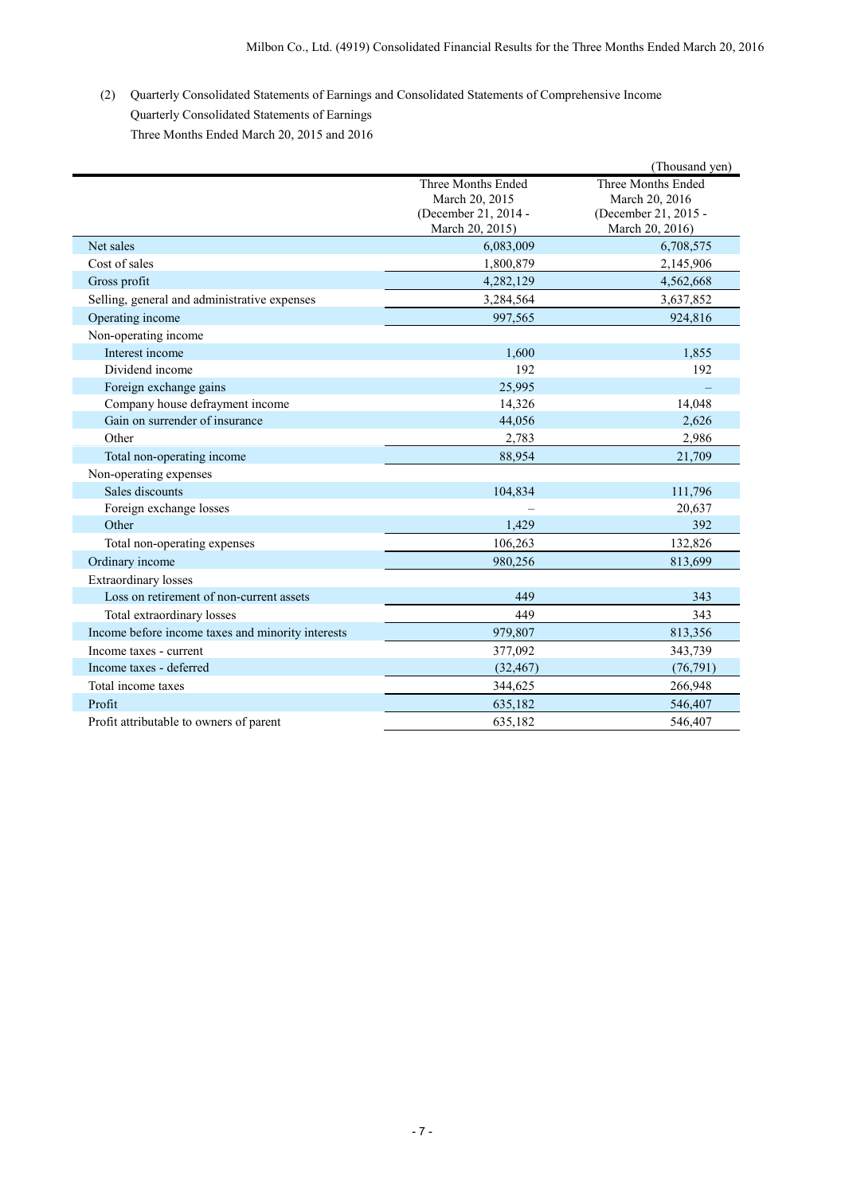(2) Quarterly Consolidated Statements of Earnings and Consolidated Statements of Comprehensive Income Quarterly Consolidated Statements of Earnings Three Months Ended March 20, 2015 and 2016

|                                                   |                                                                                 | (Thousand yen)                                                                  |
|---------------------------------------------------|---------------------------------------------------------------------------------|---------------------------------------------------------------------------------|
|                                                   | Three Months Ended<br>March 20, 2015<br>(December 21, 2014 -<br>March 20, 2015) | Three Months Ended<br>March 20, 2016<br>(December 21, 2015 -<br>March 20, 2016) |
| Net sales                                         | 6,083,009                                                                       | 6,708,575                                                                       |
| Cost of sales                                     | 1,800,879                                                                       | 2,145,906                                                                       |
| Gross profit                                      | 4,282,129                                                                       | 4,562,668                                                                       |
| Selling, general and administrative expenses      | 3,284,564                                                                       | 3,637,852                                                                       |
| Operating income                                  | 997,565                                                                         | 924,816                                                                         |
| Non-operating income                              |                                                                                 |                                                                                 |
| Interest income                                   | 1,600                                                                           | 1,855                                                                           |
| Dividend income                                   | 192                                                                             | 192                                                                             |
| Foreign exchange gains                            | 25,995                                                                          |                                                                                 |
| Company house defrayment income                   | 14,326                                                                          | 14,048                                                                          |
| Gain on surrender of insurance                    | 44,056                                                                          | 2,626                                                                           |
| Other                                             | 2,783                                                                           | 2,986                                                                           |
| Total non-operating income                        | 88,954                                                                          | 21,709                                                                          |
| Non-operating expenses                            |                                                                                 |                                                                                 |
| Sales discounts                                   | 104,834                                                                         | 111,796                                                                         |
| Foreign exchange losses                           |                                                                                 | 20,637                                                                          |
| Other                                             | 1,429                                                                           | 392                                                                             |
| Total non-operating expenses                      | 106,263                                                                         | 132,826                                                                         |
| Ordinary income                                   | 980.256                                                                         | 813,699                                                                         |
| <b>Extraordinary losses</b>                       |                                                                                 |                                                                                 |
| Loss on retirement of non-current assets          | 449                                                                             | 343                                                                             |
| Total extraordinary losses                        | 449                                                                             | 343                                                                             |
| Income before income taxes and minority interests | 979,807                                                                         | 813,356                                                                         |
| Income taxes - current                            | 377,092                                                                         | 343,739                                                                         |
| Income taxes - deferred                           | (32, 467)                                                                       | (76, 791)                                                                       |
| Total income taxes                                | 344,625                                                                         | 266,948                                                                         |
| Profit                                            | 635,182                                                                         | 546,407                                                                         |
| Profit attributable to owners of parent           | 635,182                                                                         | 546,407                                                                         |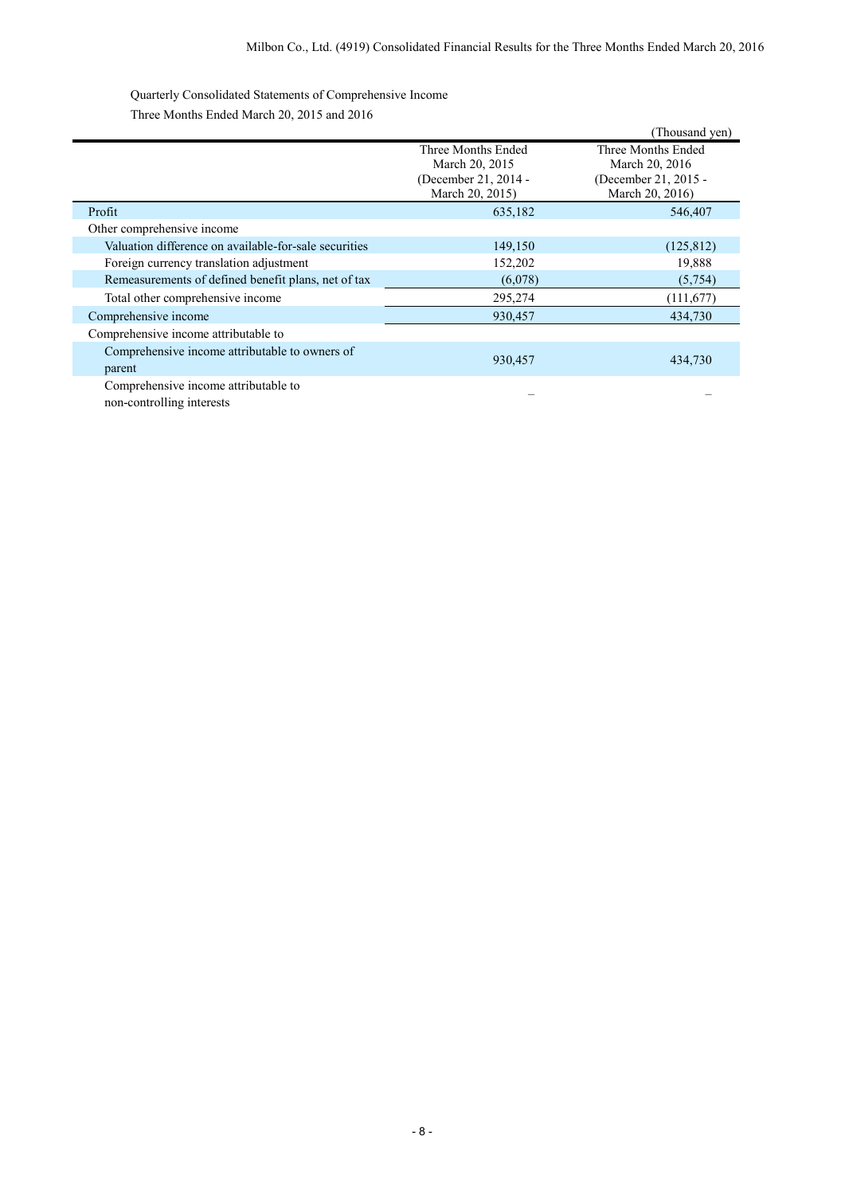Quarterly Consolidated Statements of Comprehensive Income Three Months Ended March 20, 2015 and 2016

|                                                       |                      | (Thousand yen)       |
|-------------------------------------------------------|----------------------|----------------------|
|                                                       | Three Months Ended   | Three Months Ended   |
|                                                       | March 20, 2015       | March 20, 2016       |
|                                                       | (December 21, 2014 - | (December 21, 2015 - |
|                                                       | March 20, 2015)      | March 20, 2016)      |
| Profit                                                | 635,182              | 546,407              |
| Other comprehensive income                            |                      |                      |
| Valuation difference on available-for-sale securities | 149,150              | (125, 812)           |
| Foreign currency translation adjustment               | 152,202              | 19,888               |
| Remeasurements of defined benefit plans, net of tax   | (6,078)              | (5,754)              |
| Total other comprehensive income                      | 295,274              | (111, 677)           |
| Comprehensive income                                  | 930,457              | 434,730              |
| Comprehensive income attributable to                  |                      |                      |
| Comprehensive income attributable to owners of        |                      |                      |
| parent                                                | 930,457              | 434,730              |
| Comprehensive income attributable to                  |                      |                      |
| non-controlling interests                             |                      |                      |